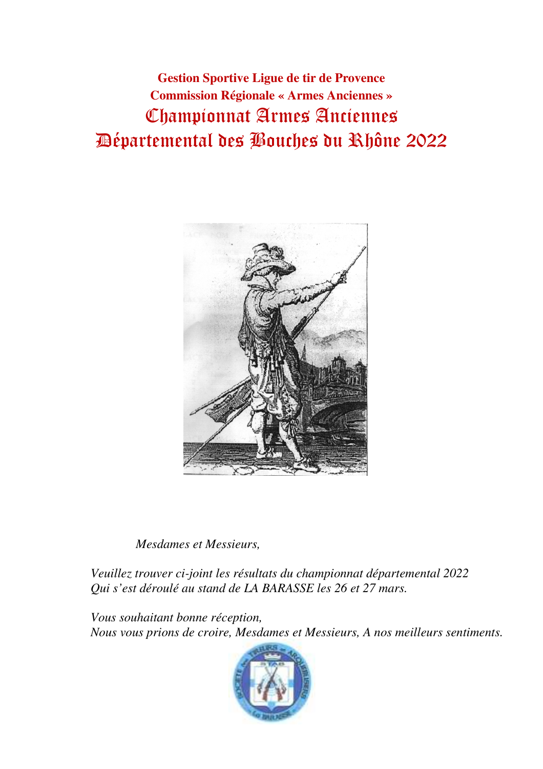**Gestion Sportive Ligue de tir de Provence Commission Régionale « Armes Anciennes »** Championnat Armes Anciennes Départemental des Bouches du Rhône 2022



*Mesdames et Messieurs,* 

 *Veuillez trouver ci-joint les résultats du championnat départemental 2022 Qui s'est déroulé au stand de LA BARASSE les 26 et 27 mars.* 

 *Vous souhaitant bonne réception, Nous vous prions de croire, Mesdames et Messieurs, A nos meilleurs sentiments.* 

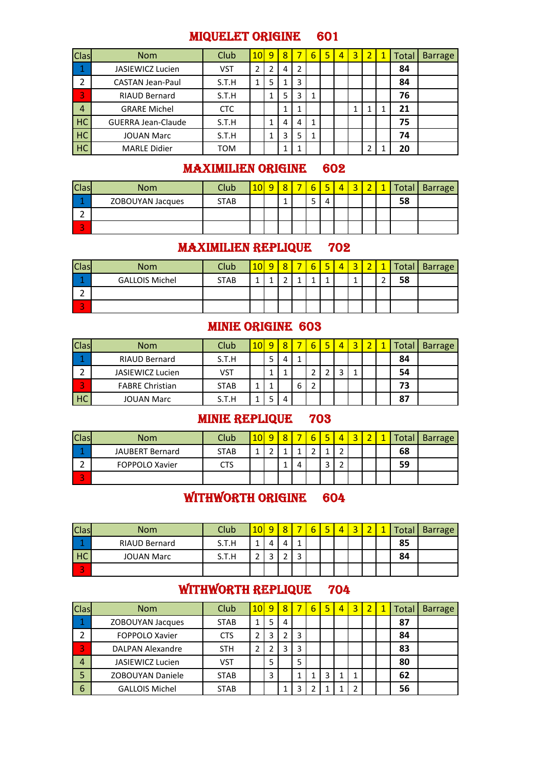#### MIQUELET ORIGINE 601

| <b>Clas</b>          | <b>Nom</b>                | Club       | 10 | 9              | 8 |   | 6 | 5 | $\overline{4}$ | 3 | $\overline{2}$ | Total | <b>Barrage</b> |
|----------------------|---------------------------|------------|----|----------------|---|---|---|---|----------------|---|----------------|-------|----------------|
| $\blacktriangleleft$ | <b>JASIEWICZ Lucien</b>   | VST        |    | $\overline{2}$ | 4 | 2 |   |   |                |   |                | 84    |                |
| 2                    | <b>CASTAN Jean-Paul</b>   | S.T.H      |    | 5              | 1 | 3 |   |   |                |   |                | 84    |                |
| 3                    | <b>RIAUD Bernard</b>      | S.T.H      |    | 1              | 5 | 3 | 1 |   |                |   |                | 76    |                |
| $\overline{4}$       | <b>GRARE Michel</b>       | <b>CTC</b> |    |                | 1 |   |   |   |                | ٠ | 1              | 21    |                |
| <b>HC</b>            | <b>GUERRA Jean-Claude</b> | S.T.H      |    | 1              | 4 | 4 | 1 |   |                |   |                | 75    |                |
| <b>HC</b>            | <b>JOUAN Marc</b>         | S.T.H      |    | 1              | 3 | 5 | 1 |   |                |   |                | 74    |                |
| <b>HC</b>            | <b>MARLE Didier</b>       | TOM        |    |                | 1 |   |   |   |                |   |                | 20    |                |

# MAXIMILIEN ORIGINE 602

| <b>Clas</b>  | <b>Nom</b>       | Club <sup>®</sup> | o | o | - | ь | ▬ | 4 | $\overline{\phantom{a}}$ | Total, | <b>Barrage</b> |
|--------------|------------------|-------------------|---|---|---|---|---|---|--------------------------|--------|----------------|
|              | ZOBOUYAN Jacques | <b>STAB</b>       |   | a |   | ت |   |   |                          | 58     |                |
|              |                  |                   |   |   |   |   |   |   |                          |        |                |
| $\mathbf{r}$ |                  |                   |   |   |   |   |   |   |                          |        |                |

# MAXIMILIEN REPLIQUE 702

| <b>Clas</b>              | <b>Nom</b>            | Club <sup>®</sup> | $\Omega$ | Q | – | b | 5 | 4 | $\sim$ |   |    | Total   Barrage |
|--------------------------|-----------------------|-------------------|----------|---|---|---|---|---|--------|---|----|-----------------|
|                          | <b>GALLOIS Michel</b> | <b>STAB</b>       |          | ∽ |   |   |   |   |        | ∽ | 58 |                 |
|                          |                       |                   |          |   |   |   |   |   |        |   |    |                 |
| $\overline{\phantom{a}}$ |                       |                   |          |   |   |   |   |   |        |   |    |                 |

### MINIE ORIGINE 603

| <b>Clas</b>              | <b>Nom</b>              | Club        | 10 | Q      | $\circ$ |   |  | 4 |  | Total | <b>Barrage</b> |
|--------------------------|-------------------------|-------------|----|--------|---------|---|--|---|--|-------|----------------|
|                          | RIAUD Bernard           | S.T.H       |    | с<br>ر |         |   |  |   |  | 84    |                |
| ∽                        | <b>JASIEWICZ Lucien</b> | VST         |    |        |         |   |  |   |  | 54    |                |
| $\overline{\phantom{a}}$ | <b>FABRE Christian</b>  | <b>STAB</b> |    |        |         | ь |  |   |  | 73    |                |
| HC                       | <b>JOUAN Marc</b>       | S.T.H       |    | -      |         |   |  |   |  | 87    |                |

# MINIE REPLIQUE 703

| <b>Clas</b> | <b>Nom</b>            | <b>Club</b> |  |   | ᄃ | 4 |  | Total | <b>Barrage</b> |
|-------------|-----------------------|-------------|--|---|---|---|--|-------|----------------|
|             | JAUBERT Bernard       | <b>STAB</b> |  |   |   | ∽ |  | 68    |                |
|             | <b>FOPPOLO Xavier</b> | CTS         |  | 4 |   | ∽ |  | 59    |                |
|             |                       |             |  |   |   |   |  |       |                |

# WITHWORTH ORIGINE 604

| <b>Clas</b> | <b>Nom</b>           | Club  | 10 <sup>°</sup> | ٥      | ົ |                          | - | 4 | $\sim$ | Total | <b>Barrage</b> |
|-------------|----------------------|-------|-----------------|--------|---|--------------------------|---|---|--------|-------|----------------|
|             | <b>RIAUD Bernard</b> | S.T.H |                 |        |   |                          |   |   |        | 85    |                |
| HC          | <b>JOUAN Marc</b>    | S.T.H |                 | -<br>◡ |   | $\overline{\phantom{0}}$ |   |   |        | 84    |                |
| ÷           |                      |       |                 |        |   |                          |   |   |        |       |                |

# WITHWORTH REPLIQUE 704

| <b>Clas</b>    | <b>Nom</b>              | Club        | 10 <sub>l</sub> | 9 | 8 |   | 6 | 5 | 4 | 3 | 2 | 1 | Total | <b>Barrage</b> |
|----------------|-------------------------|-------------|-----------------|---|---|---|---|---|---|---|---|---|-------|----------------|
|                | ZOBOUYAN Jacques        | <b>STAB</b> |                 | 5 | 4 |   |   |   |   |   |   |   | 87    |                |
| ว              | <b>FOPPOLO Xavier</b>   | <b>CTS</b>  |                 |   | 2 | 3 |   |   |   |   |   |   | 84    |                |
| 3              | <b>DALPAN Alexandre</b> | <b>STH</b>  |                 |   | 3 | 3 |   |   |   |   |   |   | 83    |                |
| $\overline{4}$ | JASIEWICZ Lucien        | VST         |                 | 5 |   | 5 |   |   |   |   |   |   | 80    |                |
| 5              | <b>ZOBOUYAN Daniele</b> | <b>STAB</b> |                 | 3 |   |   |   | 3 |   |   |   |   | 62    |                |
| 6              | <b>GALLOIS Michel</b>   | <b>STAB</b> |                 |   |   |   |   |   |   |   |   |   | 56    |                |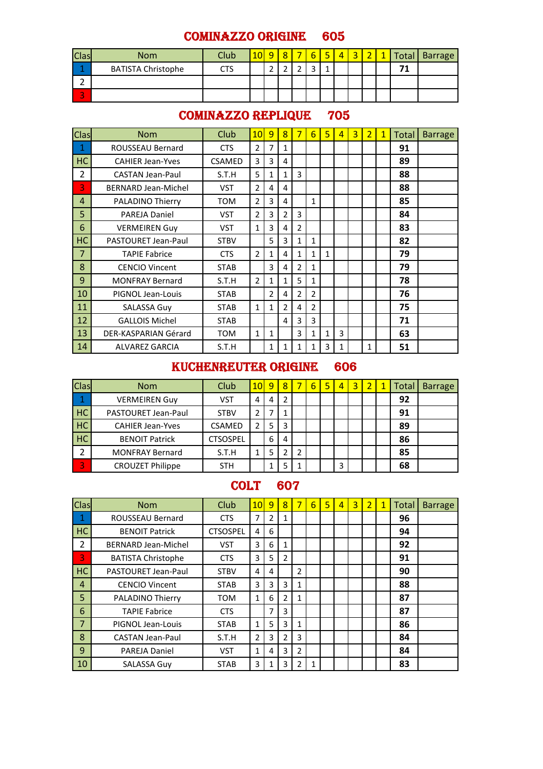### COMINAZZO ORIGINE 605

| <b>Clas</b>              | <b>Nom</b>                | <b>Club</b> |   | ହ | - |                   | E, | $\overline{\mathbf{4}}$ | $\overline{2}$ | $\overline{\phantom{a}}$ | $\overline{ }$ |    | <b>1 Total   Barrage</b> |
|--------------------------|---------------------------|-------------|---|---|---|-------------------|----|-------------------------|----------------|--------------------------|----------------|----|--------------------------|
|                          | <b>BATISTA Christophe</b> | CTS         | ∽ | - |   | $\mathbf{\Gamma}$ |    |                         |                |                          |                | 71 |                          |
|                          |                           |             |   |   |   |                   |    |                         |                |                          |                |    |                          |
| $\overline{\phantom{a}}$ |                           |             |   |   |   |                   |    |                         |                |                          |                |    |                          |

### COMINAZZO REPLIQUE 705

| Clas           | <b>Nom</b>                 | Club          | 10             | $\overline{9}$ | 8              | 7              | 6              | 5            | 4 | $\overline{3}$ | $\overline{2}$ | $\mathbf{1}$ | Total | <b>Barrage</b> |
|----------------|----------------------------|---------------|----------------|----------------|----------------|----------------|----------------|--------------|---|----------------|----------------|--------------|-------|----------------|
| 1              | ROUSSEAU Bernard           | <b>CTS</b>    | $\mathfrak{p}$ | $\overline{7}$ | 1              |                |                |              |   |                |                |              | 91    |                |
| HC             | <b>CAHIER Jean-Yves</b>    | <b>CSAMED</b> | 3              | 3              | 4              |                |                |              |   |                |                |              | 89    |                |
| $\overline{2}$ | <b>CASTAN Jean-Paul</b>    | S.T.H         | 5              | 1              | 1              | 3              |                |              |   |                |                |              | 88    |                |
| 3              | <b>BERNARD Jean-Michel</b> | <b>VST</b>    | $\overline{2}$ | 4              | 4              |                |                |              |   |                |                |              | 88    |                |
| 4              | PALADINO Thierry           | <b>TOM</b>    | $\overline{2}$ | 3              | 4              |                | 1              |              |   |                |                |              | 85    |                |
| 5              | <b>PAREJA Daniel</b>       | <b>VST</b>    | $\overline{2}$ | 3              | 2              | 3              |                |              |   |                |                |              | 84    |                |
| 6              | <b>VERMEIREN Guy</b>       | VST           | 1              | 3              | 4              | $\overline{2}$ |                |              |   |                |                |              | 83    |                |
| HC             | PASTOURET Jean-Paul        | <b>STBV</b>   |                | 5              | 3              | $\mathbf{1}$   | $\mathbf{1}$   |              |   |                |                |              | 82    |                |
| 7              | <b>TAPIE Fabrice</b>       | <b>CTS</b>    | $\overline{2}$ | 1              | 4              | $\mathbf{1}$   | $\mathbf{1}$   | $\mathbf{1}$ |   |                |                |              | 79    |                |
| 8              | <b>CENCIO Vincent</b>      | <b>STAB</b>   |                | 3              | 4              | $\mathcal{P}$  | 1              |              |   |                |                |              | 79    |                |
| 9              | <b>MONFRAY Bernard</b>     | S.T.H         | 2              | 1              | 1              | 5              | 1              |              |   |                |                |              | 78    |                |
| 10             | PIGNOL Jean-Louis          | <b>STAB</b>   |                | $\mathfrak z$  | 4              | 2              | $\overline{2}$ |              |   |                |                |              | 76    |                |
| 11             | <b>SALASSA Guy</b>         | <b>STAB</b>   | $\mathbf{1}$   | $\mathbf{1}$   | $\overline{2}$ | 4              | $\overline{2}$ |              |   |                |                |              | 75    |                |
| 12             | <b>GALLOIS Michel</b>      | <b>STAB</b>   |                |                | 4              | 3              | 3              |              |   |                |                |              | 71    |                |
| 13             | DER-KASPARIAN Gérard       | <b>TOM</b>    | 1              | 1              |                | 3              | 1              | 1            | 3 |                |                |              | 63    |                |
| 14             | <b>ALVAREZ GARCIA</b>      | S.T.H         |                | 1              | 1              | 1              | 1              | 3            | 1 |                | 1              |              | 51    |                |

#### KUCHENREUTER ORIGINE 606

| <b>Clas</b> | <b>Nom</b>              | Club            | 10 <sub>1</sub> | 9 | 8 |               | 6 | 5 | $\overline{4}$ | 3 |  | Total | <b>Barrage</b> |
|-------------|-------------------------|-----------------|-----------------|---|---|---------------|---|---|----------------|---|--|-------|----------------|
| 1           | <b>VERMEIREN Guy</b>    | <b>VST</b>      | 4               | 4 | າ |               |   |   |                |   |  | 92    |                |
| <b>HC</b>   | PASTOURET Jean-Paul     | <b>STBV</b>     |                 |   |   |               |   |   |                |   |  | 91    |                |
| <b>HC</b>   | <b>CAHIER Jean-Yves</b> | <b>CSAMED</b>   |                 | 5 | 3 |               |   |   |                |   |  | 89    |                |
| HC          | <b>BENOIT Patrick</b>   | <b>CTSOSPEL</b> |                 | 6 | 4 |               |   |   |                |   |  | 86    |                |
| 2           | <b>MONFRAY Bernard</b>  | S.T.H           |                 |   |   | $\mathcal{L}$ |   |   |                |   |  | 85    |                |
| 3           | <b>CROUZET Philippe</b> | <b>STH</b>      |                 |   |   |               |   |   | 3              |   |  | 68    |                |

### COLT 607

| <b>Clas</b>    | <b>Nom</b>                 | Club            | 10 | 9              | 8 |                | 6 | 5 | 4 | 3 | $\overline{\mathbf{c}}$ | 1 | Total | <b>Barrage</b> |
|----------------|----------------------------|-----------------|----|----------------|---|----------------|---|---|---|---|-------------------------|---|-------|----------------|
| 1              | <b>ROUSSEAU Bernard</b>    | <b>CTS</b>      | 7  | $\overline{2}$ | 1 |                |   |   |   |   |                         |   | 96    |                |
| HC             | <b>BENOIT Patrick</b>      | <b>CTSOSPEL</b> | 4  | 6              |   |                |   |   |   |   |                         |   | 94    |                |
| 2              | <b>BERNARD Jean-Michel</b> | <b>VST</b>      | 3  | 6              | 1 |                |   |   |   |   |                         |   | 92    |                |
| $\overline{3}$ | <b>BATISTA Christophe</b>  | <b>CTS</b>      | 3  | 5              | 2 |                |   |   |   |   |                         |   | 91    |                |
| HC             | <b>PASTOURET Jean-Paul</b> | <b>STBV</b>     | 4  | 4              |   | 2              |   |   |   |   |                         |   | 90    |                |
| $\overline{4}$ | <b>CENCIO Vincent</b>      | <b>STAB</b>     | 3  | 3              | 3 | $\mathbf{1}$   |   |   |   |   |                         |   | 88    |                |
| 5              | <b>PALADINO Thierry</b>    | <b>TOM</b>      | 1  | 6              | 2 | 1              |   |   |   |   |                         |   | 87    |                |
| 6              | <b>TAPIE Fabrice</b>       | <b>CTS</b>      |    | 7              | 3 |                |   |   |   |   |                         |   | 87    |                |
| $\overline{7}$ | PIGNOL Jean-Louis          | <b>STAB</b>     | 1  | 5              | 3 | $\mathbf{1}$   |   |   |   |   |                         |   | 86    |                |
| 8              | <b>CASTAN Jean-Paul</b>    | S.T.H           | 2  | 3              | 2 | 3              |   |   |   |   |                         |   | 84    |                |
| 9              | <b>PAREJA Daniel</b>       | <b>VST</b>      | 1  | 4              | 3 | $\overline{2}$ |   |   |   |   |                         |   | 84    |                |
| 10             | <b>SALASSA Guy</b>         | <b>STAB</b>     | 3  |                | 3 | 2              | 1 |   |   |   |                         |   | 83    |                |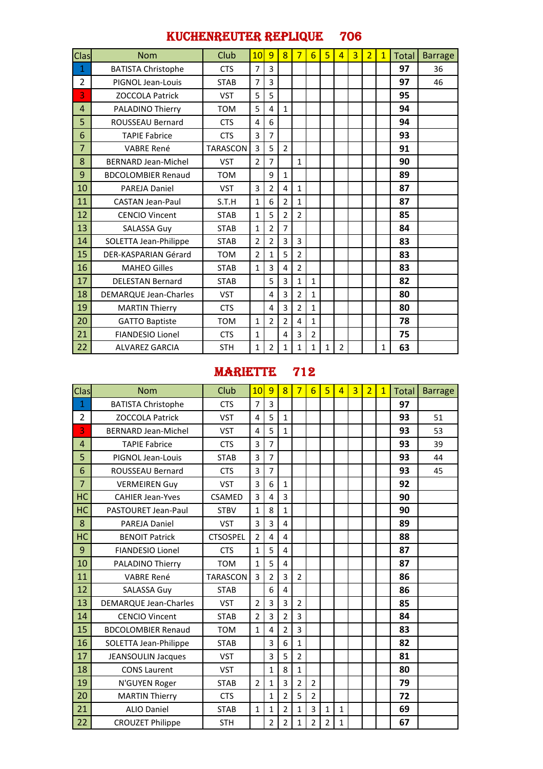### KUCHENREUTER REPLIQUE 706

| Clas           | <b>Nom</b>                   | Club            | 10             | 9              | 8              | 7              | 6 | 5            | $\overline{4}$ | $\overline{3}$ | $\overline{2}$ | $\mathbf{1}$ | Total | <b>Barrage</b> |
|----------------|------------------------------|-----------------|----------------|----------------|----------------|----------------|---|--------------|----------------|----------------|----------------|--------------|-------|----------------|
| 1              | <b>BATISTA Christophe</b>    | <b>CTS</b>      | 7              | 3              |                |                |   |              |                |                |                |              | 97    | 36             |
| $\overline{2}$ | PIGNOL Jean-Louis            | <b>STAB</b>     | 7              | 3              |                |                |   |              |                |                |                |              | 97    | 46             |
| 3              | <b>ZOCCOLA Patrick</b>       | <b>VST</b>      | 5              | 5              |                |                |   |              |                |                |                |              | 95    |                |
| 4              | <b>PALADINO Thierry</b>      | <b>TOM</b>      | 5              | $\overline{a}$ | $\mathbf{1}$   |                |   |              |                |                |                |              | 94    |                |
| 5              | <b>ROUSSEAU Bernard</b>      | <b>CTS</b>      | 4              | 6              |                |                |   |              |                |                |                |              | 94    |                |
| 6              | <b>TAPIE Fabrice</b>         | <b>CTS</b>      | 3              | 7              |                |                |   |              |                |                |                |              | 93    |                |
| $\overline{7}$ | <b>VABRE René</b>            | <b>TARASCON</b> | 3              | 5              | $\overline{2}$ |                |   |              |                |                |                |              | 91    |                |
| 8              | <b>BERNARD Jean-Michel</b>   | <b>VST</b>      | $\overline{2}$ | $\overline{7}$ |                | $\mathbf{1}$   |   |              |                |                |                |              | 90    |                |
| 9              | <b>BDCOLOMBIER Renaud</b>    | <b>TOM</b>      |                | 9              | $\mathbf{1}$   |                |   |              |                |                |                |              | 89    |                |
| 10             | <b>PAREJA Daniel</b>         | <b>VST</b>      | 3              | $\overline{2}$ | 4              | $\mathbf{1}$   |   |              |                |                |                |              | 87    |                |
| 11             | <b>CASTAN Jean-Paul</b>      | S.T.H           | 1              | 6              | $\overline{2}$ | $\mathbf{1}$   |   |              |                |                |                |              | 87    |                |
| 12             | <b>CENCIO Vincent</b>        | <b>STAB</b>     | 1              | 5              | 2              | $\overline{2}$ |   |              |                |                |                |              | 85    |                |
| 13             | <b>SALASSA Guy</b>           | <b>STAB</b>     | $\mathbf{1}$   | $\overline{2}$ | $\overline{7}$ |                |   |              |                |                |                |              | 84    |                |
| 14             | SOLETTA Jean-Philippe        | <b>STAB</b>     | 2              | 2              | 3              | 3              |   |              |                |                |                |              | 83    |                |
| 15             | DER-KASPARIAN Gérard         | <b>TOM</b>      | $\overline{2}$ | $\mathbf{1}$   | 5              | $\mathfrak{p}$ |   |              |                |                |                |              | 83    |                |
| 16             | <b>MAHEO Gilles</b>          | <b>STAB</b>     | $\mathbf{1}$   | 3              | 4              | $\overline{2}$ |   |              |                |                |                |              | 83    |                |
| 17             | <b>DELESTAN Bernard</b>      | <b>STAB</b>     |                | 5              | 3              | $\mathbf{1}$   | 1 |              |                |                |                |              | 82    |                |
| 18             | <b>DEMARQUE Jean-Charles</b> | <b>VST</b>      |                | $\overline{a}$ | 3              | $\overline{2}$ | 1 |              |                |                |                |              | 80    |                |
| 19             | <b>MARTIN Thierry</b>        | <b>CTS</b>      |                | 4              | 3              | $\overline{2}$ | 1 |              |                |                |                |              | 80    |                |
| 20             | <b>GATTO Baptiste</b>        | <b>TOM</b>      | 1              | $\overline{2}$ | 2              | 4              | 1 |              |                |                |                |              | 78    |                |
| 21             | <b>FIANDESIO Lionel</b>      | <b>CTS</b>      | 1              |                | 4              | 3              | 2 |              |                |                |                |              | 75    |                |
| 22             | <b>ALVAREZ GARCIA</b>        | <b>STH</b>      | 1              | $\overline{2}$ | 1              | 1              | 1 | $\mathbf{1}$ | $\overline{2}$ |                |                | 1            | 63    |                |

### MARIETTE 712

| Clas           | <b>Nom</b>                   | Club            | 10                      | 9                       | $\overline{8}$ | $\overline{7}$ | $6\overline{6}$ | 5            | 4            | $\overline{3}$ | $\overline{2}$ | $\overline{1}$ | <b>Total</b> | <b>Barrage</b> |
|----------------|------------------------------|-----------------|-------------------------|-------------------------|----------------|----------------|-----------------|--------------|--------------|----------------|----------------|----------------|--------------|----------------|
| $\mathbf{1}$   | <b>BATISTA Christophe</b>    | <b>CTS</b>      | $\overline{7}$          | 3                       |                |                |                 |              |              |                |                |                | 97           |                |
| $\overline{2}$ | <b>ZOCCOLA Patrick</b>       | <b>VST</b>      | 4                       | 5                       | $\mathbf{1}$   |                |                 |              |              |                |                |                | 93           | 51             |
| 3              | <b>BERNARD Jean-Michel</b>   | <b>VST</b>      | 4                       | 5                       | $\mathbf{1}$   |                |                 |              |              |                |                |                | 93           | 53             |
| 4              | <b>TAPIE Fabrice</b>         | <b>CTS</b>      | 3                       | $\overline{7}$          |                |                |                 |              |              |                |                |                | 93           | 39             |
| 5              | PIGNOL Jean-Louis            | <b>STAB</b>     | $\overline{\mathbf{3}}$ | $\overline{7}$          |                |                |                 |              |              |                |                |                | 93           | 44             |
| 6              | <b>ROUSSEAU Bernard</b>      | <b>CTS</b>      | 3                       | $\overline{7}$          |                |                |                 |              |              |                |                |                | 93           | 45             |
| $\overline{7}$ | <b>VERMEIREN Guy</b>         | <b>VST</b>      | 3                       | 6                       | $\mathbf{1}$   |                |                 |              |              |                |                |                | 92           |                |
| <b>HC</b>      | <b>CAHIER Jean-Yves</b>      | CSAMED          | 3                       | $\overline{4}$          | 3              |                |                 |              |              |                |                |                | 90           |                |
| HC             | PASTOURET Jean-Paul          | <b>STBV</b>     | $\mathbf{1}$            | 8                       | $\mathbf{1}$   |                |                 |              |              |                |                |                | 90           |                |
| 8              | <b>PAREJA Daniel</b>         | <b>VST</b>      | 3                       | $\overline{3}$          | 4              |                |                 |              |              |                |                |                | 89           |                |
| HC             | <b>BENOIT Patrick</b>        | <b>CTSOSPEL</b> | $\overline{2}$          | $\overline{a}$          | 4              |                |                 |              |              |                |                |                | 88           |                |
| 9              | <b>FIANDESIO Lionel</b>      | <b>CTS</b>      | $\mathbf{1}$            | 5                       | 4              |                |                 |              |              |                |                |                | 87           |                |
| 10             | <b>PALADINO Thierry</b>      | <b>TOM</b>      | $\mathbf{1}$            | 5                       | 4              |                |                 |              |              |                |                |                | 87           |                |
| 11             | <b>VABRE René</b>            | <b>TARASCON</b> | 3                       | $\overline{2}$          | 3              | $\overline{2}$ |                 |              |              |                |                |                | 86           |                |
| 12             | SALASSA Guy                  | <b>STAB</b>     |                         | 6                       | 4              |                |                 |              |              |                |                |                | 86           |                |
| 13             | <b>DEMARQUE Jean-Charles</b> | <b>VST</b>      | $\overline{2}$          | 3                       | 3              | $\overline{2}$ |                 |              |              |                |                |                | 85           |                |
| 14             | <b>CENCIO Vincent</b>        | <b>STAB</b>     | $\overline{2}$          | $\overline{\mathbf{3}}$ | $\overline{2}$ | 3              |                 |              |              |                |                |                | 84           |                |
| 15             | <b>BDCOLOMBIER Renaud</b>    | <b>TOM</b>      | $\mathbf{1}$            | 4                       | $\overline{2}$ | 3              |                 |              |              |                |                |                | 83           |                |
| 16             | SOLETTA Jean-Philippe        | <b>STAB</b>     |                         | 3                       | 6              | $\mathbf{1}$   |                 |              |              |                |                |                | 82           |                |
| 17             | <b>JEANSOULIN Jacques</b>    | <b>VST</b>      |                         | $\overline{3}$          | 5              | $\overline{2}$ |                 |              |              |                |                |                | 81           |                |
| 18             | <b>CONS Laurent</b>          | <b>VST</b>      |                         | $\mathbf{1}$            | 8              | $\mathbf{1}$   |                 |              |              |                |                |                | 80           |                |
| 19             | N'GUYEN Roger                | <b>STAB</b>     | $\overline{2}$          | $\mathbf{1}$            | 3              | $\overline{2}$ | $\overline{2}$  |              |              |                |                |                | 79           |                |
| 20             | <b>MARTIN Thierry</b>        | <b>CTS</b>      |                         | $\mathbf{1}$            | $\overline{2}$ | 5              | $\overline{2}$  |              |              |                |                |                | 72           |                |
| 21             | <b>ALIO Daniel</b>           | <b>STAB</b>     | $\mathbf{1}$            | $\mathbf{1}$            | $\overline{2}$ | $\mathbf{1}$   | 3               | $\mathbf{1}$ | $\mathbf{1}$ |                |                |                | 69           |                |
| 22             | <b>CROUZET Philippe</b>      | <b>STH</b>      |                         | 2                       | $\overline{2}$ | $\mathbf 1$    | 2               | 2            | $\mathbf{1}$ |                |                |                | 67           |                |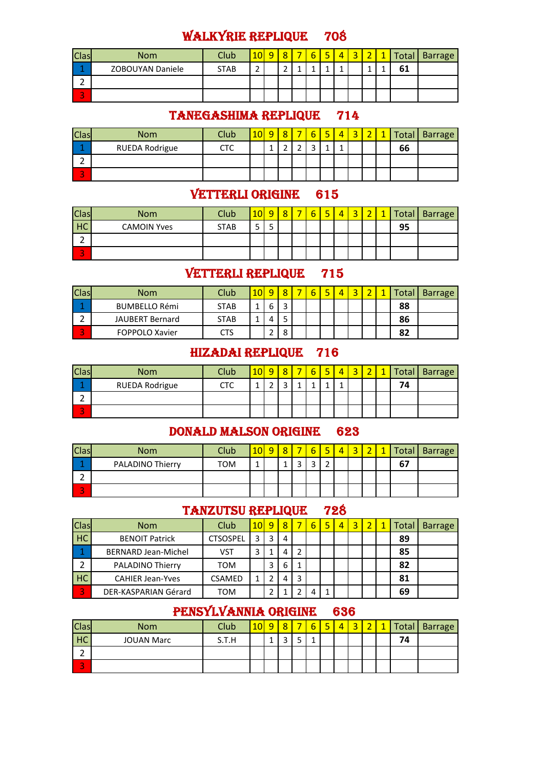# WALKYRIE REPLIQUE 708

| <b>Clas</b>                        | <b>Nom</b>       | Club        | 10     | o | Ω                 | h | - | $\sim$ | $\overline{\phantom{a}}$ |   | Total | <b>Barrage</b> |
|------------------------------------|------------------|-------------|--------|---|-------------------|---|---|--------|--------------------------|---|-------|----------------|
| . .                                | ZOBOUYAN Daniele | <b>STAB</b> | ◠<br>_ |   | $\mathbf{\hat{}}$ | ٠ |   |        |                          | ۰ | 61    |                |
| ∽                                  |                  |             |        |   |                   |   |   |        |                          |   |       |                |
| $\overline{\phantom{a}}$<br>$\sim$ |                  |             |        |   |                   |   |   |        |                          |   |       |                |

# TANEGASHIMA REPLIQUE 714

| <b>Clas</b>  | <b>Nom</b>     | Club | $10 \,$ | $\circ$ |   | $\blacksquare$ |  | $\overline{\phantom{a}}$ | Total | Barrage |
|--------------|----------------|------|---------|---------|---|----------------|--|--------------------------|-------|---------|
|              | RUEDA Rodrigue | стс  |         | -       | ∽ |                |  |                          | 66    |         |
|              |                |      |         |         |   |                |  |                          |       |         |
| $\mathbf{r}$ |                |      |         |         |   |                |  |                          |       |         |

### VETTERLI ORIGINE 615

| <b>Clas</b>              | <b>Nom</b>         | Club        | 10 <sup>1</sup> | ٥      | $\circ$ | - | r<br>o | E | 4 | ⌒<br>س | $\overline{\phantom{a}}$ | и | <b>Total</b> | <b>Barrage</b> |
|--------------------------|--------------------|-------------|-----------------|--------|---------|---|--------|---|---|--------|--------------------------|---|--------------|----------------|
| HC                       | <b>CAMOIN Yves</b> | <b>STAB</b> | -<br>ے          | -<br>ت |         |   |        |   |   |        |                          |   | 95           |                |
|                          |                    |             |                 |        |         |   |        |   |   |        |                          |   |              |                |
| $\overline{\phantom{a}}$ |                    |             |                 |        |         |   |        |   |   |        |                          |   |              |                |

### VETTERLI REPLIQUE 715

| <b>Clas</b>              | <b>Nom</b>             | Club        |   |   |  |  |  | cotal | <b>Barrage</b> |
|--------------------------|------------------------|-------------|---|---|--|--|--|-------|----------------|
|                          | <b>BUMBELLO Rémi</b>   | <b>STAB</b> | b | ∽ |  |  |  | 88    |                |
|                          | <b>JAUBERT Bernard</b> | <b>STAB</b> |   |   |  |  |  | 86    |                |
| $\overline{\phantom{a}}$ | <b>FOPPOLO Xavier</b>  | CTS         |   | Ω |  |  |  | 82    |                |

#### HIZADAI REPLIQUE 716

| <b>Clas</b>              | <b>Nom</b>            | Club | <u> 10  </u> | $\overline{a}$           | $\Omega$                 | ÷<br>b | $\overline{\phantom{0}}$ | $\overline{\phantom{a}}$<br>$\overline{\phantom{a}}$ | $\overline{\phantom{a}}$ | n | Total | <b>Barrage</b> |
|--------------------------|-----------------------|------|--------------|--------------------------|--------------------------|--------|--------------------------|------------------------------------------------------|--------------------------|---|-------|----------------|
|                          | <b>RUEDA Rodrigue</b> | СТС  | л            | $\overline{\phantom{0}}$ | $\overline{\phantom{0}}$ | л      |                          |                                                      |                          |   | 74    |                |
|                          |                       |      |              |                          |                          |        |                          |                                                      |                          |   |       |                |
| $\overline{\phantom{a}}$ |                       |      |              |                          |                          |        |                          |                                                      |                          |   |       |                |

# DONALD MALSON ORIGINE 623

| <b>Clas</b> | <b>Nom</b>              | <b>Club</b> | 10 | ٥ | $\circ$ | - | 6      | с | 4 | $\overline{\phantom{a}}$ |    | Total Barrage |
|-------------|-------------------------|-------------|----|---|---------|---|--------|---|---|--------------------------|----|---------------|
|             | <b>PALADINO Thierry</b> | <b>TOM</b>  |    |   |         |   | ∽<br>ب | - |   |                          | 67 |               |
| ∽<br>-      |                         |             |    |   |         |   |        |   |   |                          |    |               |
| ÷<br>$\sim$ |                         |             |    |   |         |   |        |   |   |                          |    |               |

### TANZUTSU REPLIQUE 728

| <b>Clas</b>              | <b>Nom</b>                 | Club            | 10 <sup>1</sup> | 9 | 8 |   | 6 | 5 | 4 | З |  | Total | <b>Barrage</b> |
|--------------------------|----------------------------|-----------------|-----------------|---|---|---|---|---|---|---|--|-------|----------------|
| <b>HC</b>                | <b>BENOIT Patrick</b>      | <b>CTSOSPEL</b> | 3               | 3 | 4 |   |   |   |   |   |  | 89    |                |
|                          | <b>BERNARD Jean-Michel</b> | VST             |                 |   | 4 |   |   |   |   |   |  | 85    |                |
| $\overline{\phantom{0}}$ | <b>PALADINO Thierry</b>    | том             |                 |   | 6 |   |   |   |   |   |  | 82    |                |
| <b>HC</b>                | <b>CAHIER Jean-Yves</b>    | <b>CSAMED</b>   |                 |   | 4 | 3 |   |   |   |   |  | 81    |                |
| 3                        | DER-KASPARIAN Gérard       | том             |                 |   |   |   | 4 |   |   |   |  | 69    |                |

# PENSYLVANNIA ORIGINE 636

| <b>Clas</b>                        | <b>Nom</b>        | Club  | 10 | $\Omega$ | Q | - | F | Б | 4 | ◠<br>$\overline{\phantom{a}}$ | $\overline{\phantom{a}}$ | Total, | <b>Barrage</b> |
|------------------------------------|-------------------|-------|----|----------|---|---|---|---|---|-------------------------------|--------------------------|--------|----------------|
| HC                                 | <b>JOUAN Marc</b> | S.T.H |    | л<br>-   | ┑ | - |   |   |   |                               |                          | 74     |                |
| ∽<br>-                             |                   |       |    |          |   |   |   |   |   |                               |                          |        |                |
| $\overline{\phantom{a}}$<br>$\sim$ |                   |       |    |          |   |   |   |   |   |                               |                          |        |                |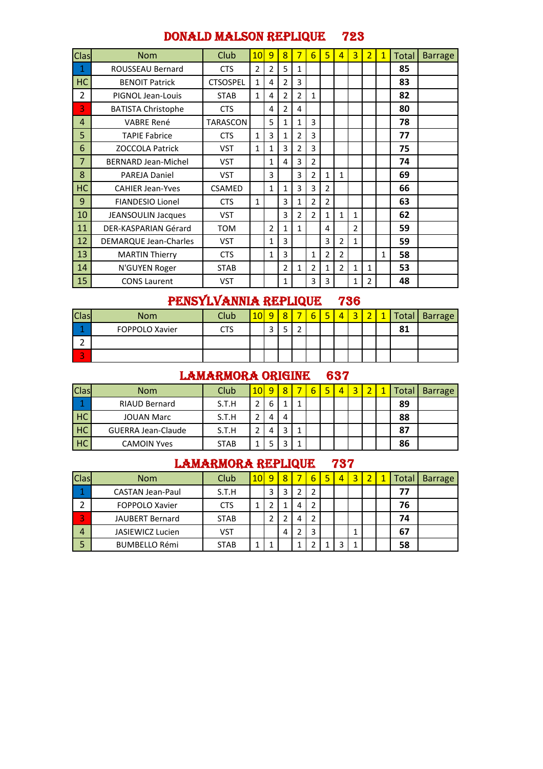### DONALD MALSON REPLIQUE 723

| Clas           | <b>Nom</b>                 | Club            | 10 | 9              | 8              | 7              | 6              | 5              | $\overline{4}$ | 3              | $\overline{2}$ | $\mathbf{1}$ | Total | <b>Barrage</b> |
|----------------|----------------------------|-----------------|----|----------------|----------------|----------------|----------------|----------------|----------------|----------------|----------------|--------------|-------|----------------|
| 1              | ROUSSEAU Bernard           | <b>CTS</b>      | 2  | $\overline{2}$ | 5              | 1              |                |                |                |                |                |              | 85    |                |
| HC             | <b>BENOIT Patrick</b>      | <b>CTSOSPEL</b> | 1  | 4              | 2              | 3              |                |                |                |                |                |              | 83    |                |
| $\overline{2}$ | PIGNOL Jean-Louis          | <b>STAB</b>     | 1  | 4              | $\overline{2}$ | $\overline{2}$ | 1              |                |                |                |                |              | 82    |                |
| 3              | <b>BATISTA Christophe</b>  | <b>CTS</b>      |    | 4              | $\overline{2}$ | 4              |                |                |                |                |                |              | 80    |                |
| 4              | <b>VABRE René</b>          | <b>TARASCON</b> |    | 5              | 1              | 1              | 3              |                |                |                |                |              | 78    |                |
| 5              | <b>TAPIE Fabrice</b>       | <b>CTS</b>      | 1  | 3              | 1              | $\overline{2}$ | 3              |                |                |                |                |              | 77    |                |
| 6              | <b>ZOCCOLA Patrick</b>     | <b>VST</b>      | 1  | $\mathbf{1}$   | 3              | $\overline{2}$ | 3              |                |                |                |                |              | 75    |                |
| 7              | <b>BERNARD Jean-Michel</b> | <b>VST</b>      |    | 1              | 4              | 3              | 2              |                |                |                |                |              | 74    |                |
| 8              | <b>PAREJA Daniel</b>       | <b>VST</b>      |    | 3              |                | 3              | $\overline{2}$ | $\mathbf{1}$   | $\mathbf{1}$   |                |                |              | 69    |                |
| <b>HC</b>      | <b>CAHIER Jean-Yves</b>    | CSAMED          |    | 1              | 1              | 3              | 3              | $\overline{2}$ |                |                |                |              | 66    |                |
| 9              | <b>FIANDESIO Lionel</b>    | <b>CTS</b>      | 1  |                | 3              | 1              | 2              | $\overline{2}$ |                |                |                |              | 63    |                |
| 10             | <b>JEANSOULIN Jacques</b>  | <b>VST</b>      |    |                | 3              | $\overline{2}$ | $\overline{2}$ | 1              | $\mathbf{1}$   | 1              |                |              | 62    |                |
| 11             | DER-KASPARIAN Gérard       | <b>TOM</b>      |    | $\overline{2}$ | 1              | 1              |                | 4              |                | $\overline{2}$ |                |              | 59    |                |
| 12             | DEMARQUE Jean-Charles      | <b>VST</b>      |    | 1              | 3              |                |                | 3              | $\overline{2}$ | 1              |                |              | 59    |                |
| 13             | <b>MARTIN Thierry</b>      | <b>CTS</b>      |    | 1              | 3              |                | 1              | 2              | $\overline{2}$ |                |                | 1            | 58    |                |
| 14             | N'GUYEN Roger              | <b>STAB</b>     |    |                | 2              | 1              | 2              | 1              | $\overline{2}$ | 1              | 1              |              | 53    |                |
| 15             | <b>CONS Laurent</b>        | <b>VST</b>      |    |                | 1              |                | 3              | 3              |                | 1              | 2              |              | 48    |                |

# PENSYLVANNIA REPLIQUE 736

| <b>Clas</b>  | <b>Nom</b>     | Club |                               | $\circ$ | n | 局 | 4 | $\overline{\phantom{a}}$ |         | Total   Barrage |
|--------------|----------------|------|-------------------------------|---------|---|---|---|--------------------------|---------|-----------------|
|              | FOPPOLO Xavier | CTS  | $\overline{\phantom{0}}$<br>ٮ | -       |   |   |   |                          | 01<br>ᅆ |                 |
|              |                |      |                               |         |   |   |   |                          |         |                 |
| $\mathbf{r}$ |                |      |                               |         |   |   |   |                          |         |                 |

#### LAMARMORA ORIGINE 637

| <b>Clas</b> | <b>Nom</b>                | Club <sup>1</sup> | 10I | 9 | $\circ$ |  | ц | 4 |  | <sup>-</sup> ota | <b>Barrage</b> |
|-------------|---------------------------|-------------------|-----|---|---------|--|---|---|--|------------------|----------------|
|             | <b>RIAUD Bernard</b>      | S.T.H             |     | ь |         |  |   |   |  | 89               |                |
| HC          | <b>JOUAN Marc</b>         | S.T.H             | ∍   |   | 4       |  |   |   |  | 88               |                |
| HC          | <b>GUERRA Jean-Claude</b> | S.T.H             |     |   | っ       |  |   |   |  | 87               |                |
| HC          | <b>CAMOIN Yves</b>        | <b>STAB</b>       |     |   |         |  |   |   |  | 86               |                |

### LAMARMORA REPLIQUE 737

| <b>Clas</b>    | <b>Nom</b>              | <b>Club</b> | 10 <sup>1</sup> | 9 | $\overline{8}$ |   | 6 | Б | 4 | 3 |  | Total | <b>Barrage</b> |
|----------------|-------------------------|-------------|-----------------|---|----------------|---|---|---|---|---|--|-------|----------------|
|                | <b>CASTAN Jean-Paul</b> | S.T.H       |                 | 3 | э              |   |   |   |   |   |  | 77    |                |
| ∍              | FOPPOLO Xavier          | <b>CTS</b>  |                 |   |                | 4 |   |   |   |   |  | 76    |                |
| 3              | <b>JAUBERT Bernard</b>  | <b>STAB</b> |                 |   |                | 4 | ຳ |   |   |   |  | 74    |                |
| $\overline{a}$ | <b>JASIEWICZ Lucien</b> | VST         |                 |   | 4              |   |   |   |   |   |  | 67    |                |
| 5              | <b>BUMBELLO Rémi</b>    | <b>STAB</b> |                 |   |                |   |   |   |   |   |  | 58    |                |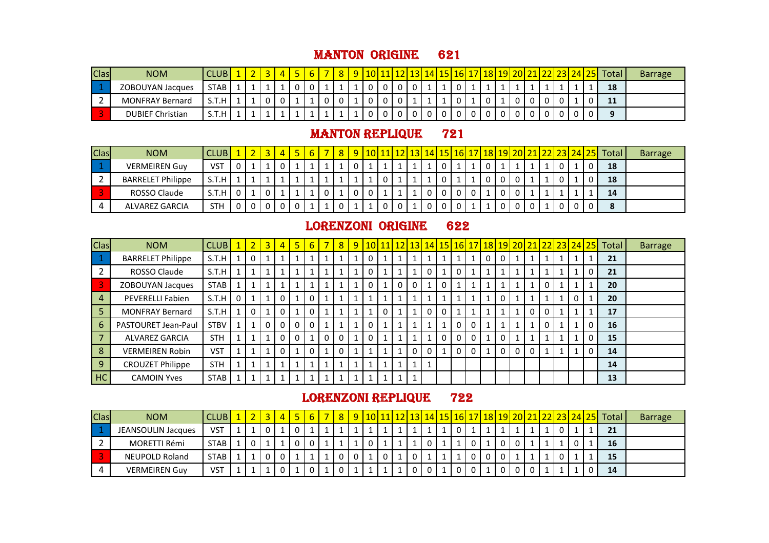#### MANTON ORIGINE 621

| <b>Clas</b> | <b>NOM</b>              | <b>CLUB</b> |  |  |  |  |          | 1011 | 1211 |  | 14 15 V | 16 17 7 |  | 18119120L |  |  | <u>2 23 24 25  </u> | Total | <b>Barrage</b> |
|-------------|-------------------------|-------------|--|--|--|--|----------|------|------|--|---------|---------|--|-----------|--|--|---------------------|-------|----------------|
|             | <b>ZOBOUYAN Jacques</b> | <b>STAB</b> |  |  |  |  |          |      |      |  |         |         |  |           |  |  |                     | 18    |                |
|             | <b>MONFRAY Bernard</b>  | S.T.H       |  |  |  |  | <b>.</b> |      |      |  |         |         |  |           |  |  |                     | 11    |                |
|             | <b>DUBIEF Christian</b> | S.T.H       |  |  |  |  |          |      |      |  |         |         |  |           |  |  |                     |       |                |

#### **MANTON REPLIQUE 721**

| Clas | <b>NOM</b>               | CLUB I     |  |  |  |  |        |  |  |  | <mark>  10   11   12   13   14   15   16   17   18   19   20   21   22   23   24   .</mark> |  |  |   | <b>251</b> | Total | <b>Barrage</b> |
|------|--------------------------|------------|--|--|--|--|--------|--|--|--|---------------------------------------------------------------------------------------------|--|--|---|------------|-------|----------------|
|      | <b>VERMEIREN Guy</b>     | VS1        |  |  |  |  |        |  |  |  |                                                                                             |  |  |   |            | 18    |                |
|      | <b>BARRELET Philippe</b> | S.T.H      |  |  |  |  |        |  |  |  |                                                                                             |  |  |   |            | 18    |                |
|      | ROSSO Claude             | S.T.H      |  |  |  |  | $\sim$ |  |  |  |                                                                                             |  |  |   |            | 14    |                |
|      | ALVAREZ GARCIA           | <b>STH</b> |  |  |  |  |        |  |  |  |                                                                                             |  |  | 0 |            |       |                |

### LORENZONI ORIGINE 622

| Clas                       | <b>NOM</b>               | <b>CLUB</b> |              | $\overline{3}$ | 4 | 6 <sub>l</sub> |          | 8 <sup>°</sup> |   |             |   |   |          |          | 9   10   11   12   13   14   15   16   17   18   19   20   21   22   23   24   25   1 |   |   |     |   |   |  | <b>Total</b> | <b>Barrage</b> |
|----------------------------|--------------------------|-------------|--------------|----------------|---|----------------|----------|----------------|---|-------------|---|---|----------|----------|---------------------------------------------------------------------------------------|---|---|-----|---|---|--|--------------|----------------|
| $\overline{\phantom{a}}$   | <b>BARRELET Philippe</b> | S.T.H       | 0            |                |   |                |          |                | 0 |             |   |   |          | 1        |                                                                                       |   |   |     |   |   |  | 21           |                |
| $\overline{2}$             | ROSSO Claude             | S.T.H       |              |                |   |                |          |                |   |             |   |   |          | 1        | 0                                                                                     |   |   |     |   |   |  | 21           |                |
| $\overline{\phantom{a}}$ 3 | ZOBOUYAN Jacques         | <b>STAB</b> |              |                |   |                |          |                |   |             |   | 0 |          | 0        |                                                                                       |   |   |     |   | 0 |  | 20           |                |
| $\overline{4}$             | PEVERELLI Fabien         | S.T.H       | 1            |                | 0 | $\mathbf{0}$   |          |                |   |             |   |   |          | 1        |                                                                                       |   |   |     |   |   |  | 20           |                |
| -5                         | <b>MONFRAY Bernard</b>   | S.T.H       | 0            |                |   | $\Omega$       |          |                |   | $\Omega$    |   |   | $\Omega$ | $\Omega$ |                                                                                       |   |   |     | 0 |   |  | 17           |                |
| 6                          | PASTOURET Jean-Paul      | <b>STBV</b> |              | 0              |   |                |          |                |   |             |   |   |          | 1        | 0                                                                                     | 0 |   |     |   |   |  | 16           |                |
|                            | ALVAREZ GARCIA           | <b>STH</b>  | $\mathbf{1}$ |                |   |                | $\Omega$ | $\Omega$       | 0 |             |   |   |          | $\Omega$ | 0                                                                                     | 0 | 0 |     |   |   |  | 15           |                |
| 8                          | <b>VERMEIREN Robin</b>   | <b>VST</b>  |              |                |   | $\Omega$       |          | 0              |   |             |   | 0 |          |          | 0                                                                                     | 0 | 0 | - 0 | 0 |   |  | 14           |                |
| $\vert$ 9                  | <b>CROUZET Philippe</b>  | <b>STH</b>  |              |                |   |                |          |                |   |             |   |   |          |          |                                                                                       |   |   |     |   |   |  | 14           |                |
| H <sub>C</sub>             | <b>CAMOIN Yves</b>       | <b>STAB</b> | $\mathbf{1}$ |                | 1 |                |          |                |   | $\mathbf 1$ | 1 |   |          |          |                                                                                       |   |   |     |   |   |  | 13           |                |

### LORENZONI REPLIQUE 722

| <b>Clas</b> | <b>NOM</b>                | CLUB.       |  |   |  |  |  |  | <u>   13   14   1</u> |  | <u>151161</u> | 17   18   19   20   2 |  |  |  | <mark>1  22  23  24  25</mark>   Total ! | <b>Barrage</b> |
|-------------|---------------------------|-------------|--|---|--|--|--|--|-----------------------|--|---------------|-----------------------|--|--|--|------------------------------------------|----------------|
| $\vert$ 1   | <b>JEANSOULIN Jacques</b> | <b>VST</b>  |  | 0 |  |  |  |  |                       |  |               |                       |  |  |  | 21                                       |                |
|             | MORETTI Rémi              | <b>STAB</b> |  |   |  |  |  |  |                       |  |               |                       |  |  |  | 16                                       |                |
|             | <b>NEUPOLD Roland</b>     | <b>STAB</b> |  | 0 |  |  |  |  |                       |  |               |                       |  |  |  | 15                                       |                |
|             | <b>VERMEIREN Guy</b>      | <b>VST</b>  |  |   |  |  |  |  |                       |  |               |                       |  |  |  | 14                                       |                |